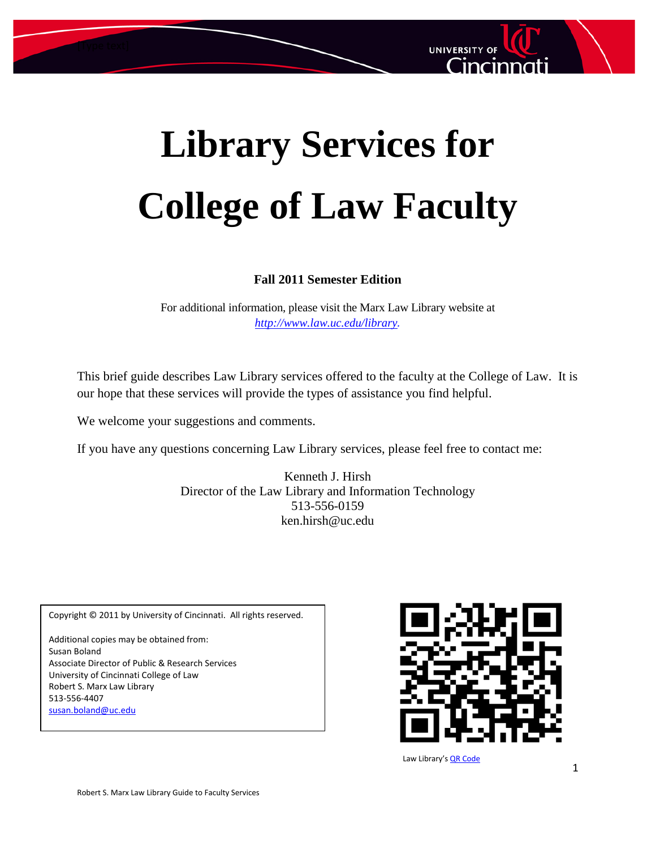

# **Library Services for College of Law Faculty**

#### **Fall 2011 Semester Edition**

For additional information, please visit the Marx Law Library website at *<http://www.law.uc.edu/library>.*

This brief guide describes Law Library services offered to the faculty at the College of Law. It is our hope that these services will provide the types of assistance you find helpful.

We welcome your suggestions and comments.

If you have any questions concerning Law Library services, please feel free to contact me:

Kenneth J. Hirsh Director of the Law Library and Information Technology 513-556-0159 ken.hirsh@uc.edu

Copyright © 2011 by University of Cincinnati. All rights reserved. Additional copies may be obtained from: Susan Boland Associate Director of Public & Research Services University of Cincinnati College of Law Robert S. Marx Law Library 513-556-4407 [susan.boland@uc.edu](mailto:susan.boland@uc.edu)



Law Library'[s QR Code](http://en.wikipedia.org/wiki/QR_Code)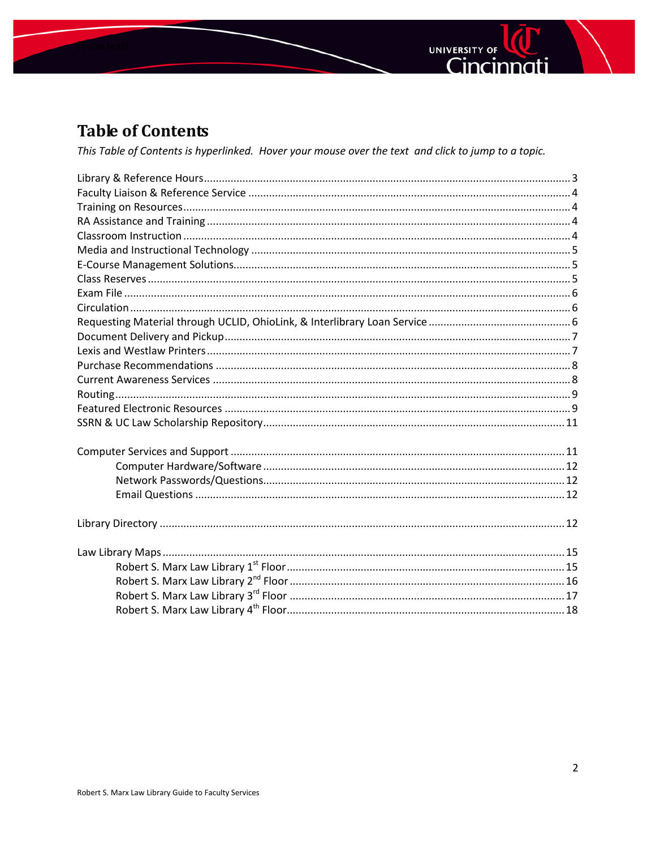



# **Table of Contents**

This Table of Contents is hyperlinked. Hover your mouse over the text and click to jump to a topic.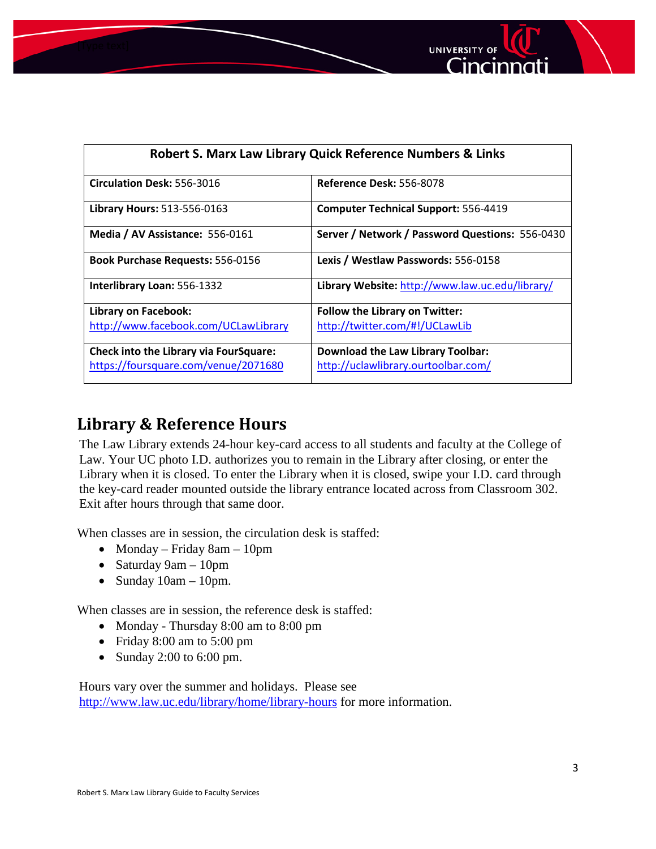



| <b>Robert S. Marx Law Library Quick Reference Numbers &amp; Links</b> |                                                 |  |
|-----------------------------------------------------------------------|-------------------------------------------------|--|
| Circulation Desk: 556-3016                                            | Reference Desk: 556-8078                        |  |
| Library Hours: 513-556-0163                                           | <b>Computer Technical Support: 556-4419</b>     |  |
| Media / AV Assistance: 556-0161                                       | Server / Network / Password Questions: 556-0430 |  |
| <b>Book Purchase Requests: 556-0156</b>                               | Lexis / Westlaw Passwords: 556-0158             |  |
| Interlibrary Loan: 556-1332                                           | Library Website: http://www.law.uc.edu/library/ |  |
| <b>Library on Facebook:</b>                                           | <b>Follow the Library on Twitter:</b>           |  |
| http://www.facebook.com/UCLawLibrary                                  | http://twitter.com/#!/UCLawLib                  |  |
| <b>Check into the Library via FourSquare:</b>                         | <b>Download the Law Library Toolbar:</b>        |  |
| https://foursquare.com/venue/2071680                                  | http://uclawlibrary.ourtoolbar.com/             |  |

# <span id="page-2-0"></span>**Library & Reference Hours**

The Law Library extends 24-hour key-card access to all students and faculty at the College of Law. Your UC photo I.D. authorizes you to remain in the Library after closing, or enter the Library when it is closed. To enter the Library when it is closed, swipe your I.D. card through the key-card reader mounted outside the library entrance located across from Classroom 302. Exit after hours through that same door.

When classes are in session, the circulation desk is staffed:

- Monday Friday 8am 10pm
- Saturday 9am 10pm
- Sunday  $10am 10pm$ .

When classes are in session, the reference desk is staffed:

- Monday Thursday 8:00 am to 8:00 pm
- Friday 8:00 am to 5:00 pm
- Sunday 2:00 to 6:00 pm.

Hours vary over the summer and holidays. Please see <http://www.law.uc.edu/library/home/library-hours> for more information.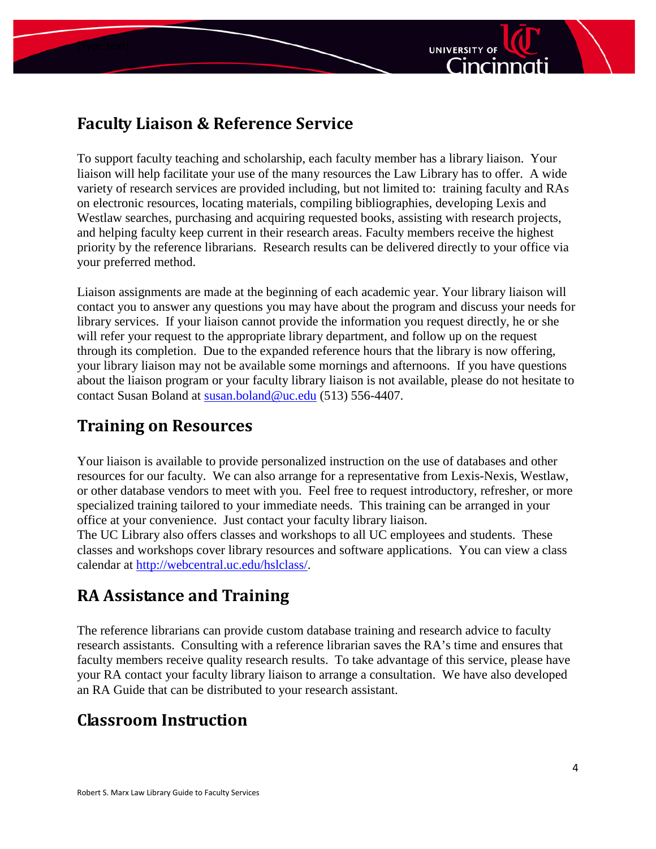

# <span id="page-3-0"></span>**Faculty Liaison & Reference Service**

To support faculty teaching and scholarship, each faculty member has a library liaison. Your liaison will help facilitate your use of the many resources the Law Library has to offer. A wide variety of research services are provided including, but not limited to: training faculty and RAs on electronic resources, locating materials, compiling bibliographies, developing Lexis and Westlaw searches, purchasing and acquiring requested books, assisting with research projects, and helping faculty keep current in their research areas. Faculty members receive the highest priority by the reference librarians. Research results can be delivered directly to your office via your preferred method.

Liaison assignments are made at the beginning of each academic year. Your library liaison will contact you to answer any questions you may have about the program and discuss your needs for library services. If your liaison cannot provide the information you request directly, he or she will refer your request to the appropriate library department, and follow up on the request through its completion. Due to the expanded reference hours that the library is now offering, your library liaison may not be available some mornings and afternoons. If you have questions about the liaison program or your faculty library liaison is not available, please do not hesitate to contact Susan Boland at [susan.boland@uc.edu](mailto:susan.boland@uc.edu) (513) 556-4407.

# <span id="page-3-1"></span>**Training on Resources**

Your liaison is available to provide personalized instruction on the use of databases and other resources for our faculty. We can also arrange for a representative from Lexis-Nexis, Westlaw, or other database vendors to meet with you. Feel free to request introductory, refresher, or more specialized training tailored to your immediate needs. This training can be arranged in your office at your convenience. Just contact your faculty library liaison.

The UC Library also offers classes and workshops to all UC employees and students. These classes and workshops cover library resources and software applications. You can view a class calendar at [http://webcentral.uc.edu/hslclass/.](http://webcentral.uc.edu/hslclass/)

# <span id="page-3-2"></span>**RA Assistance and Training**

The reference librarians can provide custom database training and research advice to faculty research assistants. Consulting with a reference librarian saves the RA's time and ensures that faculty members receive quality research results. To take advantage of this service, please have your RA contact your faculty library liaison to arrange a consultation. We have also developed an RA Guide that can be distributed to your research assistant.

# <span id="page-3-3"></span>**Classroom Instruction**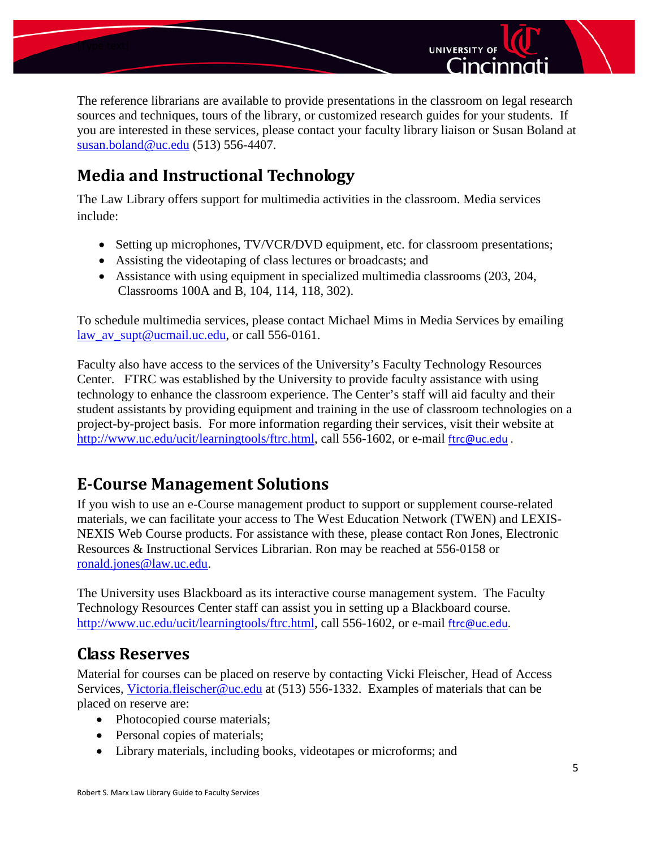



**UNIVERSITY OF** 

Cincinnat

# <span id="page-4-0"></span>**Media and Instructional Technology**

The Law Library offers support for multimedia activities in the classroom. Media services include:

- Setting up microphones, TV/VCR/DVD equipment, etc. for classroom presentations;
- Assisting the videotaping of class lectures or broadcasts; and
- Assistance with using equipment in specialized multimedia classrooms (203, 204, Classrooms 100A and B, 104, 114, 118, 302).

To schedule multimedia services, please contact Michael Mims in Media Services by emailing [law\\_av\\_supt@ucmail.uc.edu,](mailto:law_av_supt@ucmail.uc.edu) or call 556-0161.

Faculty also have access to the services of the University's Faculty Technology Resources Center. FTRC was established by the University to provide faculty assistance with using technology to enhance the classroom experience. The Center's staff will aid faculty and their student assistants by providing equipment and training in the use of classroom technologies on a project-by-project basis. For more information regarding their services, visit their website at [http://www.uc.edu/ucit/learningtools/ftrc.html,](http://www.uc.edu/ucit/learningtools/ftrc.html) call 556-1602, or e-mail [ftrc@uc.edu](mailto:FTRC@UC.Edu).

## <span id="page-4-1"></span>**E-Course Management Solutions**

If you wish to use an e-Course management product to support or supplement course-related materials, we can facilitate your access to The West Education Network (TWEN) and LEXIS-NEXIS Web Course products. For assistance with these, please contact Ron Jones, Electronic Resources & Instructional Services Librarian. Ron may be reached at 556-0158 or [ronald.jones@law.uc.edu.](mailto:ronald.jones@law.uc.edu)

The University uses Blackboard as its interactive course management system. The Faculty Technology Resources Center staff can assist you in setting up a Blackboard course. [http://www.uc.edu/ucit/learningtools/ftrc.html,](http://www.uc.edu/ucit/learningtools/ftrc.html) call 556-1602, or e-mail [ftrc@uc.edu.](mailto:FTRC@UC.Edu)

## <span id="page-4-2"></span>**Class Reserves**

Material for courses can be placed on reserve by contacting Vicki Fleischer, Head of Access Services, [Victoria.fleischer@uc.edu](mailto:Victoria.fleischer@uc.edu) at (513) 556-1332. Examples of materials that can be placed on reserve are:

- Photocopied course materials;
- Personal copies of materials;
- Library materials, including books, videotapes or microforms; and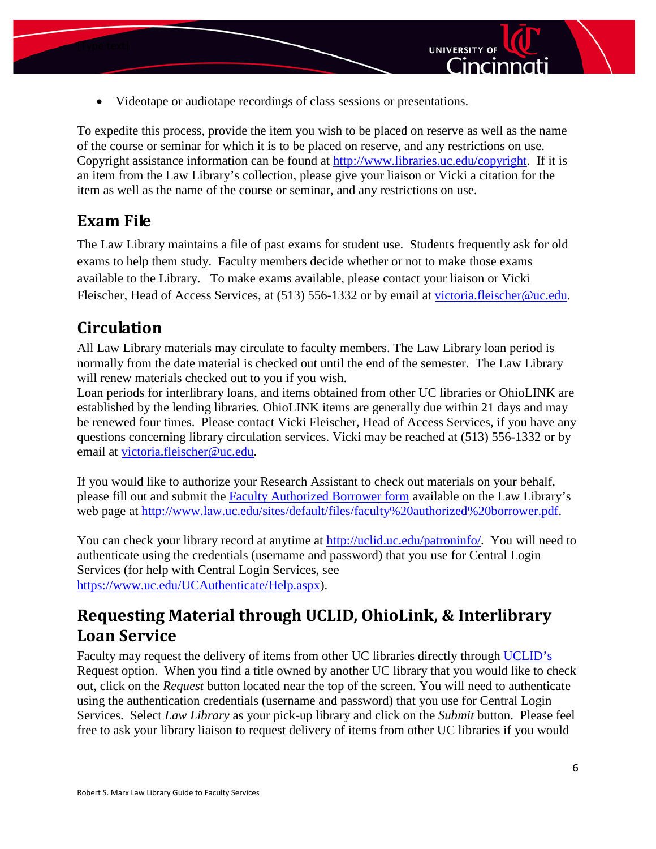

To expedite this process, provide the item you wish to be placed on reserve as well as the name of the course or seminar for which it is to be placed on reserve, and any restrictions on use. Copyright assistance information can be found at [http://www.libraries.uc.edu/copyright.](http://www.libraries.uc.edu/copyright) If it is an item from the Law Library's collection, please give your liaison or Vicki a citation for the item as well as the name of the course or seminar, and any restrictions on use.

**UNIVERSITY OF** 

Cincinnat

## <span id="page-5-0"></span>**Exam File**

The Law Library maintains a file of past exams for student use. Students frequently ask for old exams to help them study. Faculty members decide whether or not to make those exams available to the Library. To make exams available, please contact your liaison or Vicki Fleischer, Head of Access Services, at (513) 556-1332 or by email at [victoria.fleischer@uc.edu.](mailto:victoria.fleischer@uc.edu)

## <span id="page-5-1"></span>**Circulation**

All Law Library materials may circulate to faculty members. The Law Library loan period is normally from the date material is checked out until the end of the semester. The Law Library will renew materials checked out to you if you wish.

Loan periods for interlibrary loans, and items obtained from other UC libraries or OhioLINK are established by the lending libraries. OhioLINK items are generally due within 21 days and may be renewed four times. Please contact Vicki Fleischer, Head of Access Services, if you have any questions concerning library circulation services. Vicki may be reached at (513) 556-1332 or by email at [victoria.fleischer@uc.edu.](mailto:victoria.fleischer@uc.edu)

If you would like to authorize your Research Assistant to check out materials on your behalf, please fill out and submit the [Faculty Authorized Borrower form](http://www.law.uc.edu/sites/default/files/faculty%20authorized%20borrower.pdf) available on the Law Library's web page at [http://www.law.uc.edu/sites/default/files/faculty%20authorized%20borrower.pdf.](http://www.law.uc.edu/sites/default/files/faculty%20authorized%20borrower.pdf)

You can check your library record at anytime at [http://uclid.uc.edu/patroninfo/.](http://uclid.uc.edu/patroninfo/) You will need to authenticate using the credentials (username and password) that you use for Central Login Services (for help with Central Login Services, see [https://www.uc.edu/UCAuthenticate/Help.aspx\)](https://www.uc.edu/UCAuthenticate/Help.aspx).

# <span id="page-5-2"></span>**Requesting Material through UCLID, OhioLink, & Interlibrary Loan Service**

Faculty may request the delivery of items from other UC libraries directly through [UCLID's](http://proxy.libraries.uc.edu/login?url=http://uclid.uc.edu) Request option. When you find a title owned by another UC library that you would like to check out, click on the *Request* button located near the top of the screen. You will need to authenticate using the authentication credentials (username and password) that you use for Central Login Services. Select *Law Library* as your pick-up library and click on the *Submit* button. Please feel free to ask your library liaison to request delivery of items from other UC libraries if you would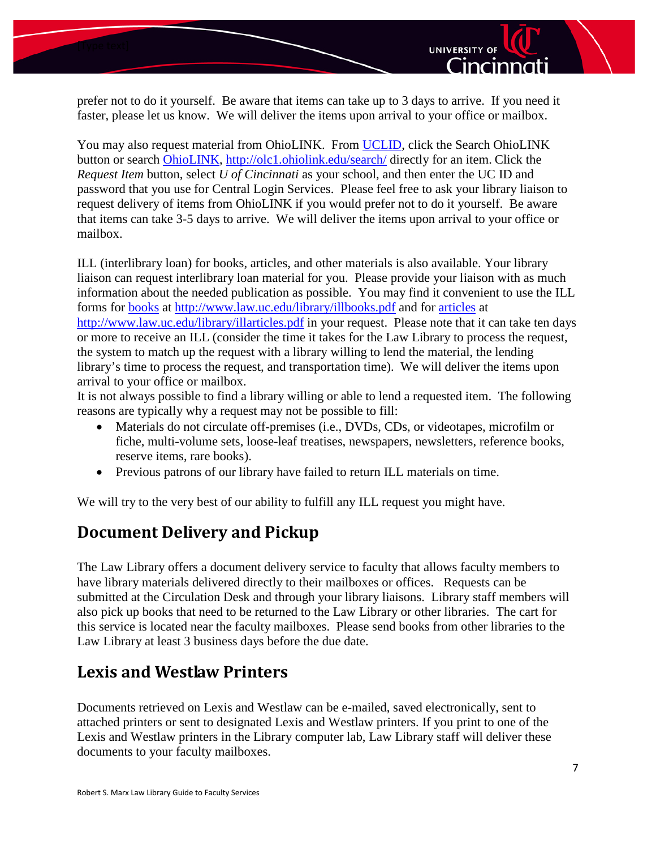



UNIVERSITY OF

Cincinnati

You may also request material from OhioLINK. From [UCLID,](http://proxy.libraries.uc.edu/login?url=http://uclid.uc.edu) click the Search OhioLINK button or search [OhioLINK, http://olc1.ohiolink.edu/search/](http://olc1.ohiolink.edu/search/) directly for an item. Click the *Request Item* button, select *U of Cincinnati* as your school, and then enter the UC ID and password that you use for Central Login Services. Please feel free to ask your library liaison to request delivery of items from OhioLINK if you would prefer not to do it yourself. Be aware that items can take 3-5 days to arrive. We will deliver the items upon arrival to your office or mailbox.

ILL (interlibrary loan) for books, articles, and other materials is also available. Your library liaison can request interlibrary loan material for you. Please provide your liaison with as much information about the needed publication as possible. You may find it convenient to use the ILL forms for [books](http://www.law.uc.edu/library/illbooks.pdf) at<http://www.law.uc.edu/library/illbooks.pdf> and for [articles](http://www.law.uc.edu/library/illarticles.pdf) at <http://www.law.uc.edu/library/illarticles.pdf> in your request. Please note that it can take ten days or more to receive an ILL (consider the time it takes for the Law Library to process the request, the system to match up the request with a library willing to lend the material, the lending library's time to process the request, and transportation time). We will deliver the items upon arrival to your office or mailbox.

It is not always possible to find a library willing or able to lend a requested item. The following reasons are typically why a request may not be possible to fill:

- Materials do not circulate off-premises (i.e., DVDs, CDs, or videotapes, microfilm or fiche, multi-volume sets, loose-leaf treatises, newspapers, newsletters, reference books, reserve items, rare books).
- Previous patrons of our library have failed to return ILL materials on time.

We will try to the very best of our ability to fulfill any ILL request you might have.

## <span id="page-6-0"></span>**Document Delivery and Pickup**

The Law Library offers a document delivery service to faculty that allows faculty members to have library materials delivered directly to their mailboxes or offices. Requests can be submitted at the Circulation Desk and through your library liaisons. Library staff members will also pick up books that need to be returned to the Law Library or other libraries. The cart for this service is located near the faculty mailboxes. Please send books from other libraries to the Law Library at least 3 business days before the due date.

## <span id="page-6-1"></span>**Lexis and Westlaw Printers**

Documents retrieved on Lexis and Westlaw can be e-mailed, saved electronically, sent to attached printers or sent to designated Lexis and Westlaw printers. If you print to one of the Lexis and Westlaw printers in the Library computer lab, Law Library staff will deliver these documents to your faculty mailboxes.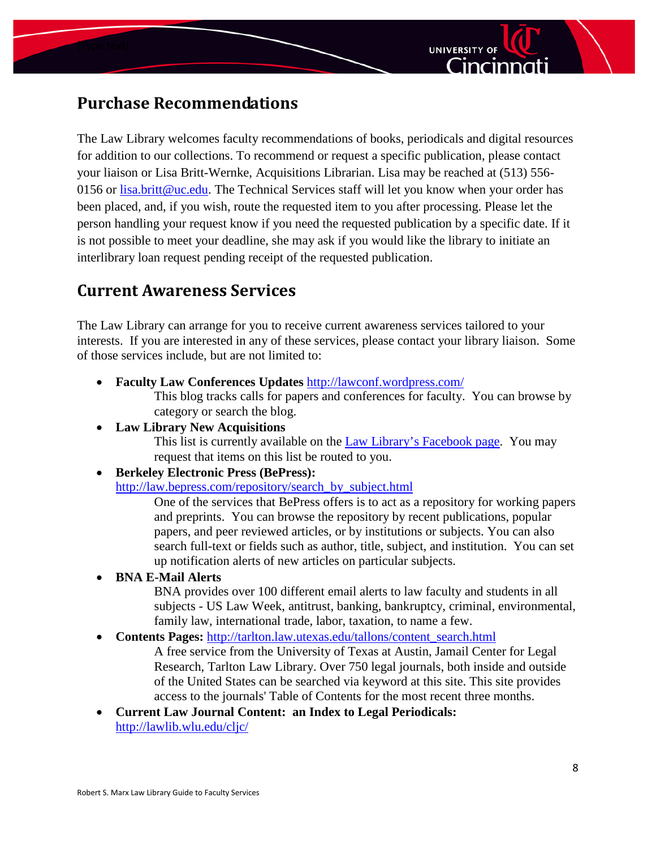



# <span id="page-7-0"></span>**Purchase Recommendations**

The Law Library welcomes faculty recommendations of books, periodicals and digital resources for addition to our collections. To recommend or request a specific publication, please contact your liaison or Lisa Britt-Wernke, Acquisitions Librarian. Lisa may be reached at (513) 556 0156 or [lisa.britt@uc.edu.](mailto:lisa.britt@uc.edu) The Technical Services staff will let you know when your order has been placed, and, if you wish, route the requested item to you after processing. Please let the person handling your request know if you need the requested publication by a specific date. If it is not possible to meet your deadline, she may ask if you would like the library to initiate an interlibrary loan request pending receipt of the requested publication.

## <span id="page-7-1"></span>**Current Awareness Services**

The Law Library can arrange for you to receive current awareness services tailored to your interests. If you are interested in any of these services, please contact your library liaison. Some of those services include, but are not limited to:

• **Faculty Law Conferences Updates** <http://lawconf.wordpress.com/>

This blog tracks calls for papers and conferences for faculty. You can browse by category or search the blog.

• **Law Library New Acquisitions**

This list is currently available on the [Law Library's Facebook page.](http://www.facebook.com/pages/Cincinnati-OH/University-of-Cincinnati-College-of-Law-Robert-S-Marx-Law-Library/60317853320?v=app_2395952879) You may request that items on this list be routed to you.

• **Berkeley Electronic Press (BePress):**

[http://law.bepress.com/repository/search\\_by\\_subject.html](http://law.bepress.com/repository/search_by_subject.html)

One of the services that BePress offers is to act as a repository for working papers and preprints. You can browse the repository by recent publications, popular papers, and peer reviewed articles, or by institutions or subjects. You can also search full-text or fields such as author, title, subject, and institution. You can set up notification alerts of new articles on particular subjects.

• **BNA E-Mail Alerts**

BNA provides over 100 different email alerts to law faculty and students in all subjects - US Law Week, antitrust, banking, bankruptcy, criminal, environmental, family law, international trade, labor, taxation, to name a few.

• **Contents Pages:** [http://tarlton.law.utexas.edu/tallons/content\\_search.html](http://tarlton.law.utexas.edu/tallons/content_search.html)

A free service from the University of Texas at Austin, Jamail Center for Legal Research, Tarlton Law Library. Over 750 legal journals, both inside and outside of the United States can be searched via keyword at this site. This site provides access to the journals' Table of Contents for the most recent three months.

• **Current Law Journal Content: an Index to Legal Periodicals:**  <http://lawlib.wlu.edu/cljc/>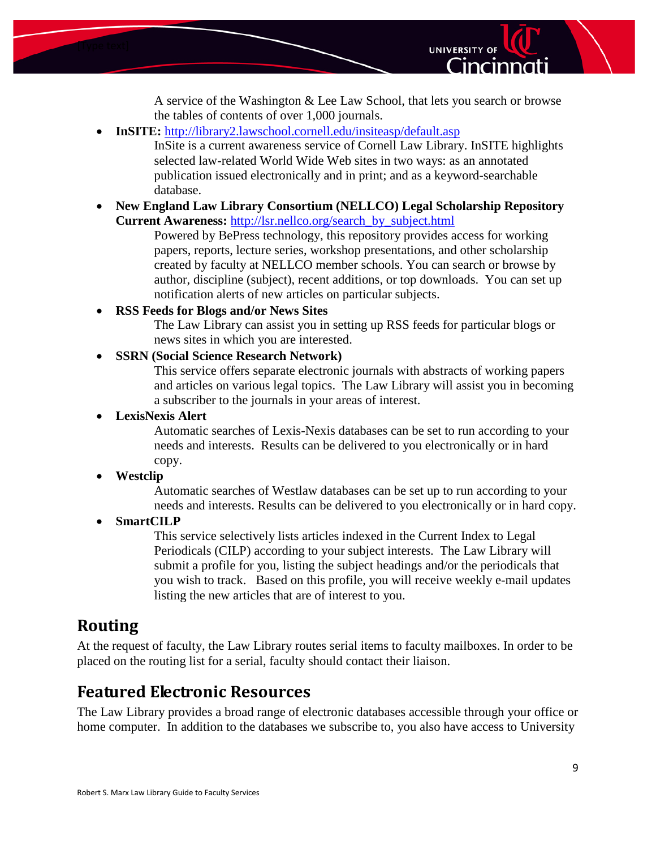



UNIVERSITY OF

Cincinna

• **InSITE:** <http://library2.lawschool.cornell.edu/insiteasp/default.asp>

InSite is a current awareness service of Cornell Law Library. InSITE highlights selected law-related World Wide Web sites in two ways: as an annotated publication issued electronically and in print; and as a keyword-searchable database.

• **New England Law Library Consortium (NELLCO) Legal Scholarship Repository Current Awareness:** [http://lsr.nellco.org/search\\_by\\_subject.html](http://lsr.nellco.org/search_by_subject.html)

Powered by BePress technology, this repository provides access for working papers, reports, lecture series, workshop presentations, and other scholarship created by faculty at NELLCO member schools. You can search or browse by author, discipline (subject), recent additions, or top downloads. You can set up notification alerts of new articles on particular subjects.

• **RSS Feeds for Blogs and/or News Sites**

The Law Library can assist you in setting up RSS feeds for particular blogs or news sites in which you are interested.

• **SSRN (Social Science Research Network)**

This service offers separate electronic journals with abstracts of working papers and articles on various legal topics. The Law Library will assist you in becoming a subscriber to the journals in your areas of interest.

#### • **LexisNexis Alert**

Automatic searches of Lexis-Nexis databases can be set to run according to your needs and interests. Results can be delivered to you electronically or in hard copy.

#### • **Westclip**

Automatic searches of Westlaw databases can be set up to run according to your needs and interests. Results can be delivered to you electronically or in hard copy.

#### • **SmartCILP**

This service selectively lists articles indexed in the Current Index to Legal Periodicals (CILP) according to your subject interests. The Law Library will submit a profile for you, listing the subject headings and/or the periodicals that you wish to track. Based on this profile, you will receive weekly e-mail updates listing the new articles that are of interest to you.

## <span id="page-8-0"></span>**Routing**

At the request of faculty, the Law Library routes serial items to faculty mailboxes. In order to be placed on the routing list for a serial, faculty should contact their liaison.

## <span id="page-8-1"></span>**Featured Electronic Resources**

The Law Library provides a broad range of electronic databases accessible through your office or home computer. In addition to the databases we subscribe to, you also have access to University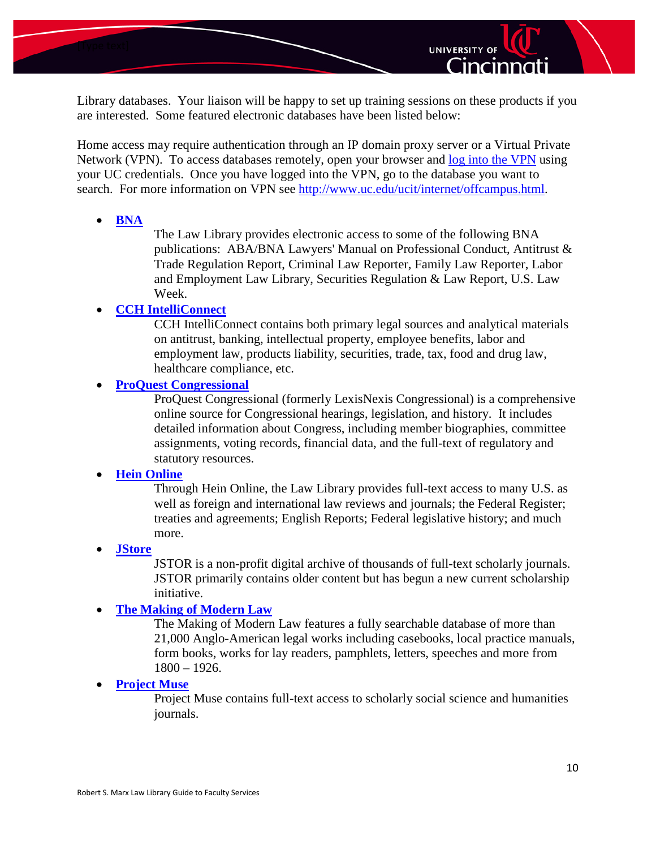



Home access may require authentication through an IP domain proxy server or a Virtual Private Network (VPN). To access databases remotely, open your browser and [log into the VPN](https://sslvpn.uc.edu/dana-na/auth/url_default/welcome.cgi) using your UC credentials. Once you have logged into the VPN, go to the database you want to search. For more information on VPN see [http://www.uc.edu/ucit/internet/offcampus.html.](http://www.uc.edu/ucit/internet/offcampus.html)

• **[BNA](http://proxy.libraries.uc.edu/login?url=http://www.bna.com/)**

The Law Library provides electronic access to some of the following BNA publications: ABA/BNA Lawyers' Manual on Professional Conduct, Antitrust & Trade Regulation Report, Criminal Law Reporter, Family Law Reporter, Labor and Employment Law Library, Securities Regulation & Law Report, U.S. Law Week.

**UNIVERSITY OF** 

Cincinnat

#### • **[CCH IntelliConnect](http://proxy.libraries.uc.edu/login?url=http://intelliconnect.cch.com/)**

CCH IntelliConnect contains both primary legal sources and analytical materials on antitrust, banking, intellectual property, employee benefits, labor and employment law, products liability, securities, trade, tax, food and drug law, healthcare compliance, etc.

#### • **[ProQuest Congressional](http://proxy.libraries.uc.edu/login?url=http://web.lexisnexis.com/congcomp/form/cong/s_pubadvanced.html?DateRestrictionControl=ALL)**

ProQuest Congressional (formerly LexisNexis Congressional) is a comprehensive online source for Congressional hearings, legislation, and history. It includes detailed information about Congress, including member biographies, committee assignments, voting records, financial data, and the full-text of regulatory and statutory resources.

#### • **[Hein Online](http://proxy.libraries.uc.edu/login?url=http://heinonline.org/)**

Through Hein Online, the Law Library provides full-text access to many U.S. as well as foreign and international law reviews and journals; the Federal Register; treaties and agreements; English Reports; Federal legislative history; and much more.

• **[JStore](http://proxy.libraries.uc.edu/login?url=http://www.jstor.org/)**

JSTOR is a non-profit digital archive of thousands of full-text scholarly journals. JSTOR primarily contains older content but has begun a new current scholarship initiative.

#### • **[The Making of Modern Law](http://proxy.libraries.uc.edu/login?url=http://galenet.galegroup.com/servlet/MOML;jsessionid=43CDB5CF02F173EB3532CC6DF2BEA49A?locID=ucinc_main)**

The Making of Modern Law features a fully searchable database of more than 21,000 Anglo-American legal works including casebooks, local practice manuals, form books, works for lay readers, pamphlets, letters, speeches and more from 1800 – 1926.

• **[Project Muse](http://proxy.libraries.uc.edu/login?url=http://muse.jhu.edu/journals/)**

Project Muse contains full-text access to scholarly social science and humanities journals.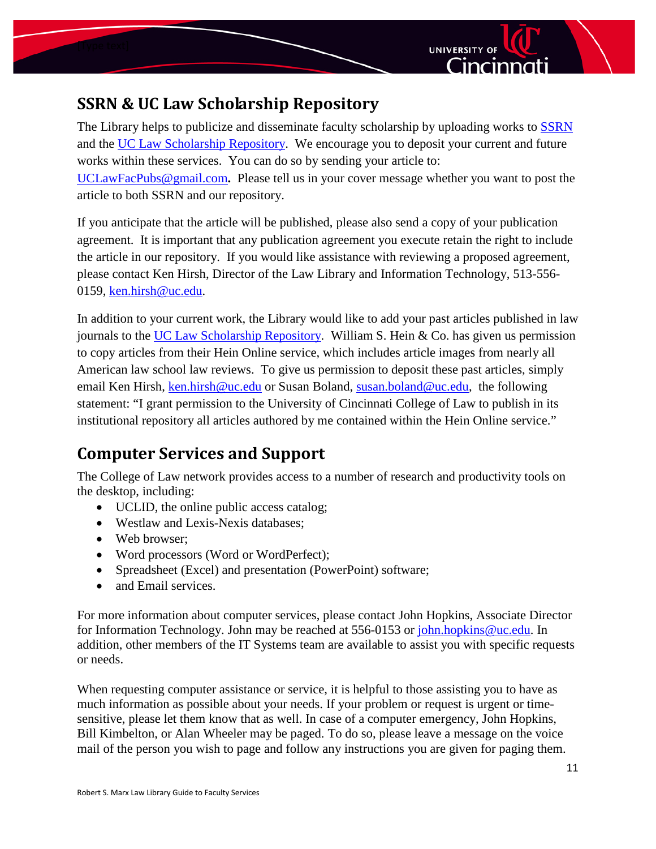



# <span id="page-10-0"></span>**SSRN & UC Law Scholarship Repository**

The Library helps to publicize and disseminate faculty scholarship by uploading works to [SSRN](http://www.ssrn.com/) and the [UC Law Scholarship Repository.](http://scholarship.law.uc.edu/) We encourage you to deposit your current and future works within these services. You can do so by sending your article to: [UCLawFacPubs@gmail.com](mailto:UCLawFacPubs@gmail.com)**.** Please tell us in your cover message whether you want to post the article to both SSRN and our repository.

If you anticipate that the article will be published, please also send a copy of your publication agreement. It is important that any publication agreement you execute retain the right to include the article in our repository. If you would like assistance with reviewing a proposed agreement, please contact Ken Hirsh, Director of the Law Library and Information Technology, 513-556- 0159, [ken.hirsh@uc.edu.](mailto:ken.hirsh@uc.edu)

In addition to your current work, the Library would like to add your past articles published in law journals to the [UC Law Scholarship Repository.](http://scholarship.law.uc.edu/) William S. Hein & Co. has given us permission to copy articles from their Hein Online service, which includes article images from nearly all American law school law reviews. To give us permission to deposit these past articles, simply email Ken Hirsh, [ken.hirsh@uc.edu](mailto:ken.hirsh@uc.edu) or Susan Boland, [susan.boland@uc.edu,](mailto:susan.boland@uc.edu) the following statement: "I grant permission to the University of Cincinnati College of Law to publish in its institutional repository all articles authored by me contained within the Hein Online service."

# <span id="page-10-1"></span>**Computer Services and Support**

The College of Law network provides access to a number of research and productivity tools on the desktop, including:

- UCLID, the online public access catalog;
- Westlaw and Lexis-Nexis databases;
- Web browser:
- Word processors (Word or WordPerfect);
- Spreadsheet (Excel) and presentation (PowerPoint) software;
- and Email services.

For more information about computer services, please contact John Hopkins, Associate Director for Information Technology. John may be reached at 556-0153 or [john.hopkins@uc.edu.](mailto:john.hopkins@uc.edu) In addition, other members of the IT Systems team are available to assist you with specific requests or needs.

When requesting computer assistance or service, it is helpful to those assisting you to have as much information as possible about your needs. If your problem or request is urgent or timesensitive, please let them know that as well. In case of a computer emergency, John Hopkins, Bill Kimbelton, or Alan Wheeler may be paged. To do so, please leave a message on the voice mail of the person you wish to page and follow any instructions you are given for paging them.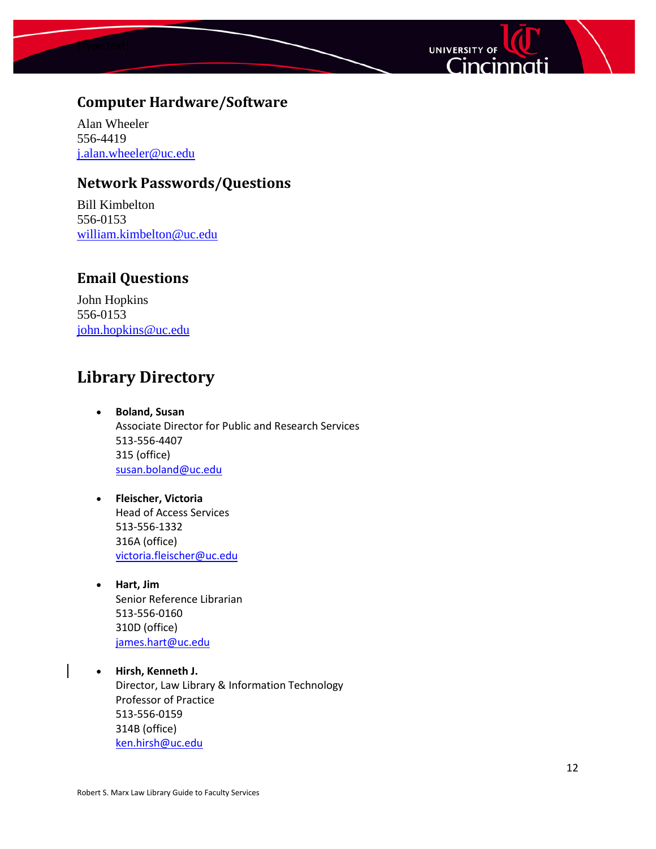



## <span id="page-11-0"></span>**Computer Hardware/Software**

Alan Wheeler 556-4419 [j.alan.wheeler@uc.edu](mailto:j.alan.wheeler@uc.edu)

#### <span id="page-11-1"></span>**Network Passwords/Questions**

Bill Kimbelton 556-0153 [william.kimbelton@uc.edu](mailto:william.kimbelton@uc.edu)

### <span id="page-11-2"></span>**Email Questions**

John Hopkins 556-0153 [john.hopkins@uc.edu](mailto:john.hopkins@uc.edu)

## <span id="page-11-3"></span>**Library Directory**

- **Boland, Susan**  Associate Director for Public and Research Services 513-556-4407 315 (office) [susan.boland@uc.edu](mailto:susan.boland@uc.edu)
- **Fleischer, Victoria**  Head of Access Services 513-556-1332 316A (office) [victoria.fleischer@uc.edu](mailto:victoria.fleischer@uc.edu)
- **Hart, Jim** Senior Reference Librarian 513-556-0160 310D (office) [james.hart@uc.edu](mailto:james.hart@uc.edu)
- **Hirsh, Kenneth J.** Director, Law Library & Information Technology Professor of Practice 513-556-0159 314B (office) [ken.hirsh@uc.edu](mailto:ken.hirsh@uc.edu)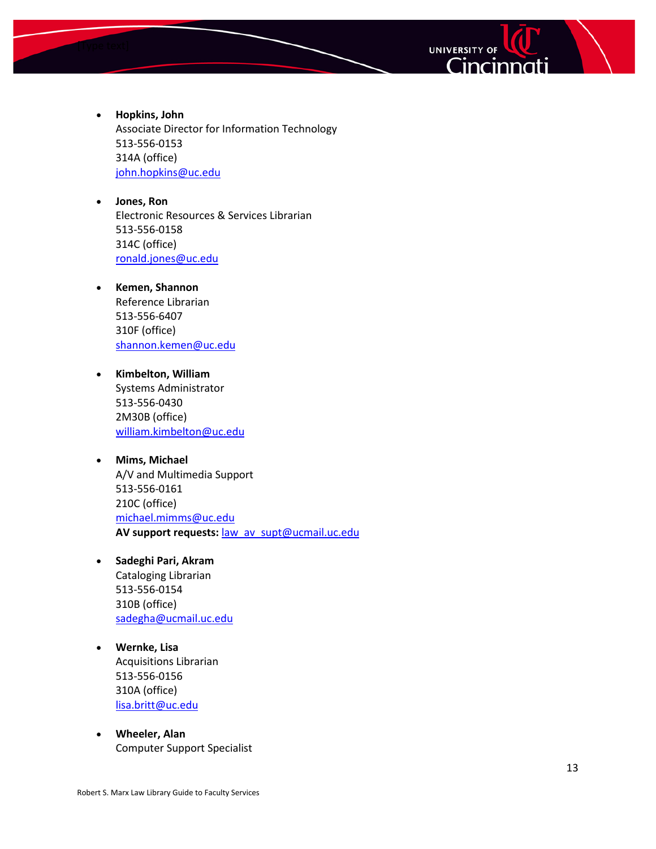



- **Hopkins, John** Associate Director for Information Technology 513-556-0153 314A (office) [john.hopkins@uc.edu](mailto:john.hopkins@uc.edu)
- **Jones, Ron** Electronic Resources & Services Librarian 513-556-0158 314C (office) [ronald.jones@uc.edu](mailto:ronald.jones@uc.edu)
- **Kemen, Shannon** Reference Librarian 513-556-6407 310F (office) [shannon.kemen@uc.edu](mailto:shannon.kemen@uc.edu)
- **Kimbelton, William** Systems Administrator 513-556-0430 2M30B (office) [william.kimbelton@uc.edu](mailto:william.kimbelton@uc.edu)
- **Mims, Michael** A/V and Multimedia Support 513-556-0161 210C (office) [michael.mimms@uc.edu](mailto:michael.mimms@uc.edu) **AV support requests:** [law\\_av\\_supt@ucmail.uc.edu](mailto:law_av_supt@ucmail.uc.edu)
- **Sadeghi Pari, Akram** Cataloging Librarian 513-556-0154 310B (office) [sadegha@ucmail.uc.edu](mailto:sadegha@ucmail.uc.edu)
- **Wernke, Lisa** Acquisitions Librarian 513-556-0156 310A (office) [lisa.britt@uc.edu](mailto:lisa.britt@uc.edu)
- **Wheeler, Alan** Computer Support Specialist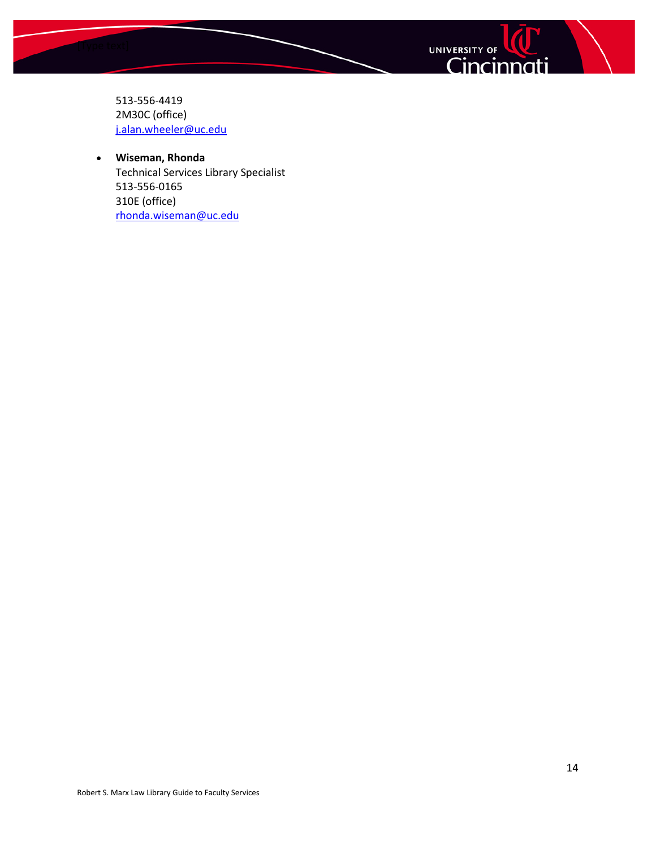



513-556-4419 2M30C (office) [j.alan.wheeler@uc.edu](mailto:j.alan.wheeler@uc.edu)

#### • **Wiseman, Rhonda** Technical Services Library Specialist 513-556-0165 310E (office) [rhonda.wiseman@uc.edu](mailto:rhonda.wiseman@uc.edu)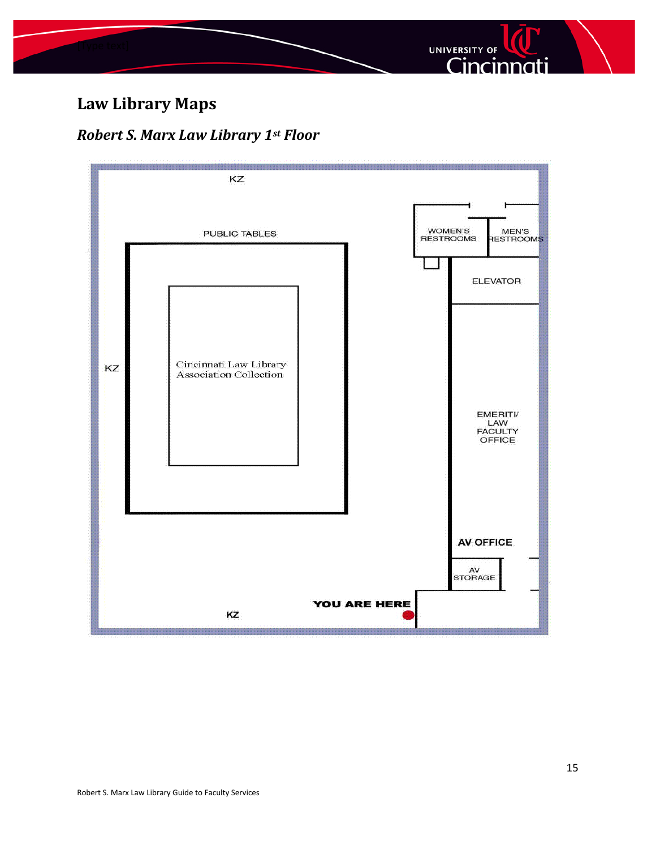

# <span id="page-14-0"></span>**Law Library Maps**

## <span id="page-14-1"></span>*Robert S. Marx Law Library 1st Floor*

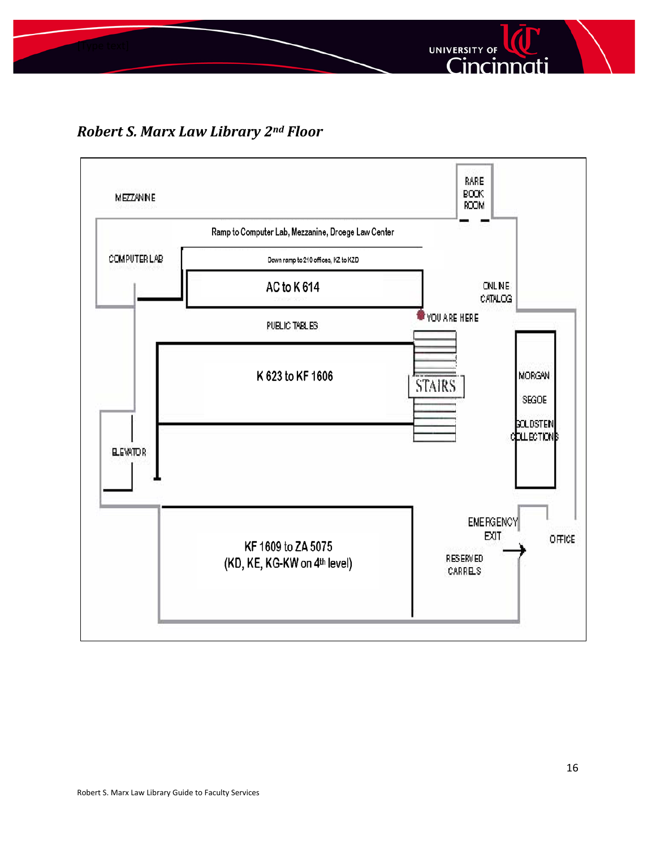

*Robert S. Marx Law Library 2nd Floor*

<span id="page-15-0"></span>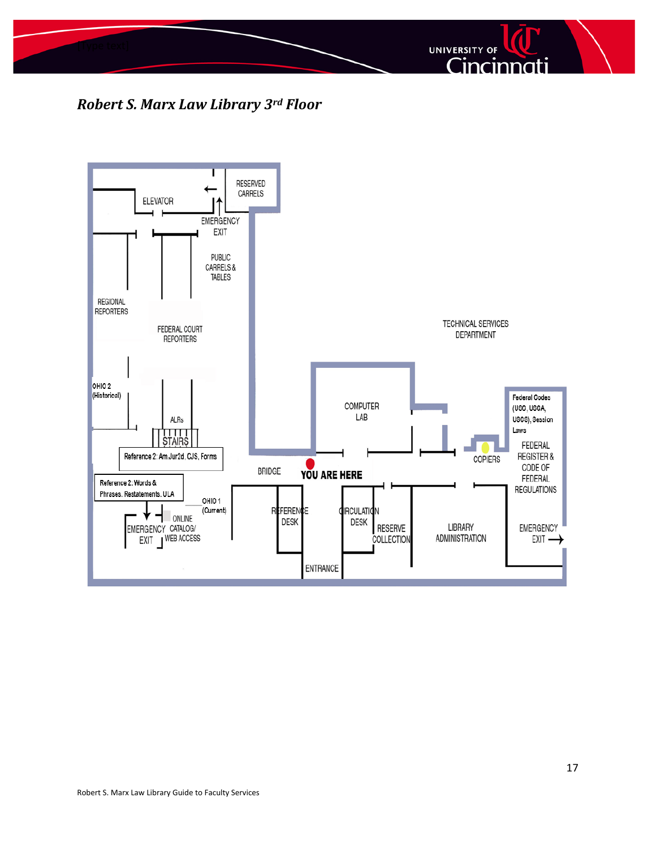

*Robert S. Marx Law Library 3rd Floor*

<span id="page-16-0"></span>